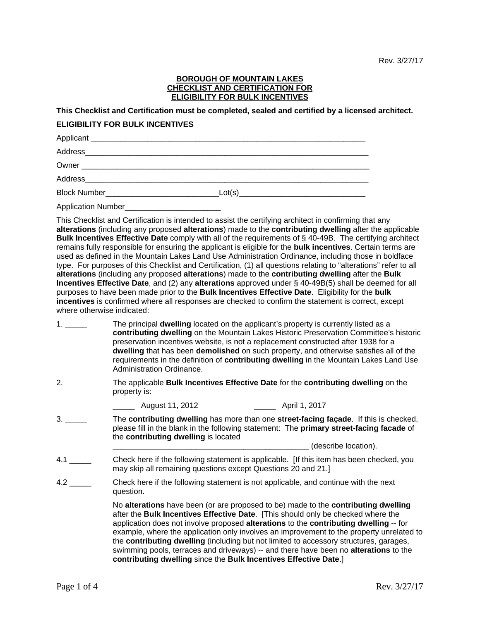## **BOROUGH OF MOUNTAIN LAKES CHECKLIST AND CERTIFICATION FOR ELIGIBILITY FOR BULK INCENTIVES**

**This Checklist and Certification must be completed, sealed and certified by a licensed architect.** 

## **ELIGIBILITY FOR BULK INCENTIVES**

| Application Number_ |  |
|---------------------|--|

This Checklist and Certification is intended to assist the certifying architect in confirming that any **alterations** (including any proposed **alterations**) made to the **contributing dwelling** after the applicable **Bulk Incentives Effective Date** comply with all of the requirements of § 40-49B. The certifying architect remains fully responsible for ensuring the applicant is eligible for the **bulk incentives**. Certain terms are used as defined in the Mountain Lakes Land Use Administration Ordinance, including those in boldface type. For purposes of this Checklist and Certification, (1) all questions relating to "alterations" refer to all **alterations** (including any proposed **alterations**) made to the **contributing dwelling** after the **Bulk Incentives Effective Date**, and (2) any **alterations** approved under § 40-49B(5) shall be deemed for all purposes to have been made prior to the **Bulk Incentives Effective Date**. Eligibility for the **bulk incentives** is confirmed where all responses are checked to confirm the statement is correct, except where otherwise indicated:

- 1. \_\_\_\_\_ The principal **dwelling** located on the applicant's property is currently listed as a **contributing dwelling** on the Mountain Lakes Historic Preservation Committee's historic preservation incentives website, is not a replacement constructed after 1938 for a **dwelling** that has been **demolished** on such property, and otherwise satisfies all of the requirements in the definition of **contributing dwelling** in the Mountain Lakes Land Use Administration Ordinance.
- 2. The applicable **Bulk Incentives Effective Date** for the **contributing dwelling** on the property is:

\_\_\_\_\_ August 11, 2012 \_\_\_\_\_ April 1, 2017

- 3. \_\_\_\_\_ The **contributing dwelling** has more than one **street-facing façade**. If this is checked, please fill in the blank in the following statement: The **primary street-facing facade** of the **contributing dwelling** is located \_\_\_\_\_\_\_\_\_\_\_\_\_\_\_\_\_\_\_\_\_\_\_\_\_\_\_\_\_\_\_\_\_\_\_\_\_\_\_\_\_\_\_\_\_ (describe location).
- 4.1 \_\_\_\_\_ Check here if the following statement is applicable. [If this item has been checked, you may skip all remaining questions except Questions 20 and 21.]
- 4.2 \_\_\_\_\_\_\_\_ Check here if the following statement is not applicable, and continue with the next question.

No **alterations** have been (or are proposed to be) made to the **contributing dwelling** after the **Bulk Incentives Effective Date**. [This should only be checked where the application does not involve proposed **alterations** to the **contributing dwelling** -- for example, where the application only involves an improvement to the property unrelated to the **contributing dwelling** (including but not limited to accessory structures, garages, swimming pools, terraces and driveways) -- and there have been no **alterations** to the **contributing dwelling** since the **Bulk Incentives Effective Date**.]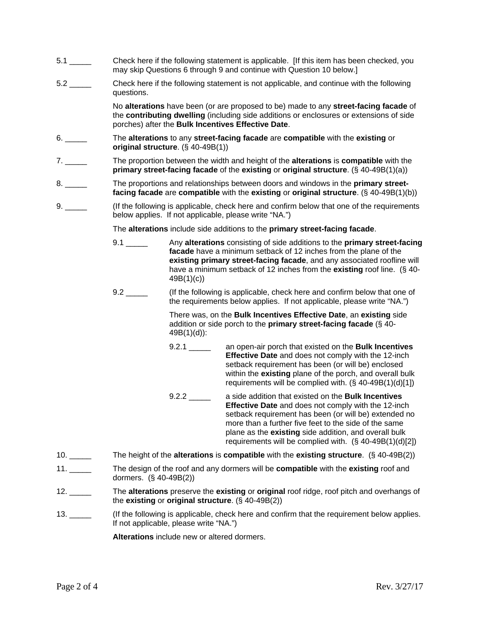- 5.1 \_\_\_\_\_ Check here if the following statement is applicable. [If this item has been checked, you may skip Questions 6 through 9 and continue with Question 10 below.]
- 5.2 \_\_\_\_\_ Check here if the following statement is not applicable, and continue with the following questions.

No **alterations** have been (or are proposed to be) made to any **street-facing facade** of the **contributing dwelling** (including side additions or enclosures or extensions of side porches) after the **Bulk Incentives Effective Date**.

- 6. \_\_\_\_\_ The **alterations** to any **street-facing facade** are **compatible** with the **existing** or **original structure**. (§ 40-49B(1))
- 7. \_\_\_\_\_ The proportion between the width and height of the **alterations** is **compatible** with the **primary street-facing facade** of the **existing** or **original structure**. (§ 40-49B(1)(a))
- 8. \_\_\_\_\_ The proportions and relationships between doors and windows in the **primary streetfacing facade** are **compatible** with the **existing** or **original structure**. (§ 40-49B(1)(b))
- 9. \_\_\_\_\_ (If the following is applicable, check here and confirm below that one of the requirements below applies. If not applicable, please write "NA.")

The **alterations** include side additions to the **primary street-facing facade**.

- 9.1 \_\_\_\_\_ Any **alterations** consisting of side additions to the **primary street-facing facade** have a minimum setback of 12 inches from the plane of the **existing primary street-facing facade**, and any associated roofline will have a minimum setback of 12 inches from the **existing** roof line. (§ 40- 49B(1)(c))
- 9.2 \_\_\_\_\_\_ (If the following is applicable, check here and confirm below that one of the requirements below applies. If not applicable, please write "NA.")

There was, on the **Bulk Incentives Effective Date**, an **existing** side addition or side porch to the **primary street-facing facade** (§ 40- 49B(1)(d)):

- 9.2.1 \_\_\_\_\_ an open-air porch that existed on the **Bulk Incentives Effective Date** and does not comply with the 12-inch setback requirement has been (or will be) enclosed within the **existing** plane of the porch, and overall bulk requirements will be complied with. (§ 40-49B(1)(d)[1])
- 9.2.2 \_\_\_\_\_ a side addition that existed on the **Bulk Incentives Effective Date** and does not comply with the 12-inch setback requirement has been (or will be) extended no more than a further five feet to the side of the same plane as the **existing** side addition, and overall bulk requirements will be complied with. (§ 40-49B(1)(d)[2])
- 10. \_\_\_\_\_ The height of the **alterations** is **compatible** with the **existing structure**. (§ 40-49B(2))
- 11. \_\_\_\_\_ The design of the roof and any dormers will be **compatible** with the **existing** roof and dormers. (§ 40-49B(2))
- 12. \_\_\_\_\_ The **alterations** preserve the **existing** or **original** roof ridge, roof pitch and overhangs of the **existing** or **original structure**. (§ 40-49B(2))
- 13. \_\_\_\_\_ (If the following is applicable, check here and confirm that the requirement below applies. If not applicable, please write "NA.")

**Alterations** include new or altered dormers.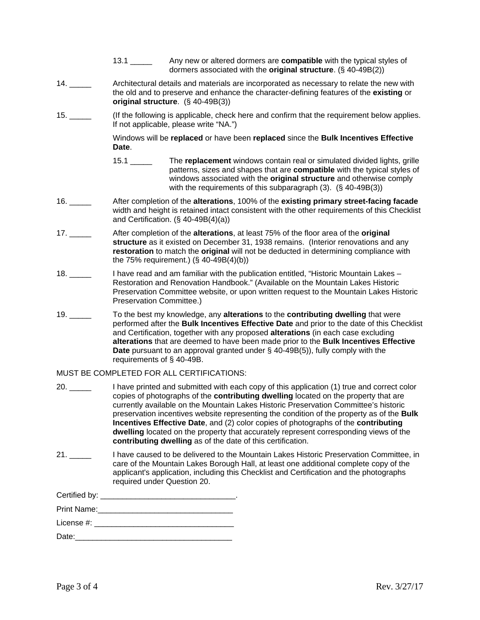- 13.1 \_\_\_\_\_ Any new or altered dormers are **compatible** with the typical styles of dormers associated with the **original structure**. (§ 40-49B(2))
- 14. \_\_\_\_\_ Architectural details and materials are incorporated as necessary to relate the new with the old and to preserve and enhance the character-defining features of the **existing** or **original structure**. (§ 40-49B(3))
- 15. \_\_\_\_\_ (If the following is applicable, check here and confirm that the requirement below applies. If not applicable, please write "NA.")

Windows will be **replaced** or have been **replaced** since the **Bulk Incentives Effective Date**.

- 15.1 \_\_\_\_\_ The **replacement** windows contain real or simulated divided lights, grille patterns, sizes and shapes that are **compatible** with the typical styles of windows associated with the **original structure** and otherwise comply with the requirements of this subparagraph (3). (§ 40-49B(3))
- 16. \_\_\_\_\_ After completion of the **alterations**, 100% of the **existing primary street-facing facade** width and height is retained intact consistent with the other requirements of this Checklist and Certification. (§ 40-49B(4)(a))
- 17. \_\_\_\_\_ After completion of the **alterations**, at least 75% of the floor area of the **original structure** as it existed on December 31, 1938 remains. (Interior renovations and any **restoration** to match the **original** will not be deducted in determining compliance with the 75% requirement.) (§ 40-49B(4)(b))
- 18. \_\_\_\_\_ I have read and am familiar with the publication entitled, "Historic Mountain Lakes Restoration and Renovation Handbook." (Available on the Mountain Lakes Historic Preservation Committee website, or upon written request to the Mountain Lakes Historic Preservation Committee.)
- 19. \_\_\_\_\_ To the best my knowledge, any **alterations** to the **contributing dwelling** that were performed after the **Bulk Incentives Effective Date** and prior to the date of this Checklist and Certification, together with any proposed **alterations** (in each case excluding **alterations** that are deemed to have been made prior to the **Bulk Incentives Effective Date** pursuant to an approval granted under § 40-49B(5)), fully comply with the requirements of § 40-49B.

## MUST BE COMPLETED FOR ALL CERTIFICATIONS:

- 20. \_\_\_\_\_ I have printed and submitted with each copy of this application (1) true and correct color copies of photographs of the **contributing dwelling** located on the property that are currently available on the Mountain Lakes Historic Preservation Committee's historic preservation incentives website representing the condition of the property as of the **Bulk Incentives Effective Date**, and (2) color copies of photographs of the **contributing dwelling** located on the property that accurately represent corresponding views of the **contributing dwelling** as of the date of this certification.
- 21. \_\_\_\_\_ I have caused to be delivered to the Mountain Lakes Historic Preservation Committee, in care of the Mountain Lakes Borough Hall, at least one additional complete copy of the applicant's application, including this Checklist and Certification and the photographs required under Question 20.

| Print Name:         |  |
|---------------------|--|
| License #: www.com/ |  |
| Date:               |  |